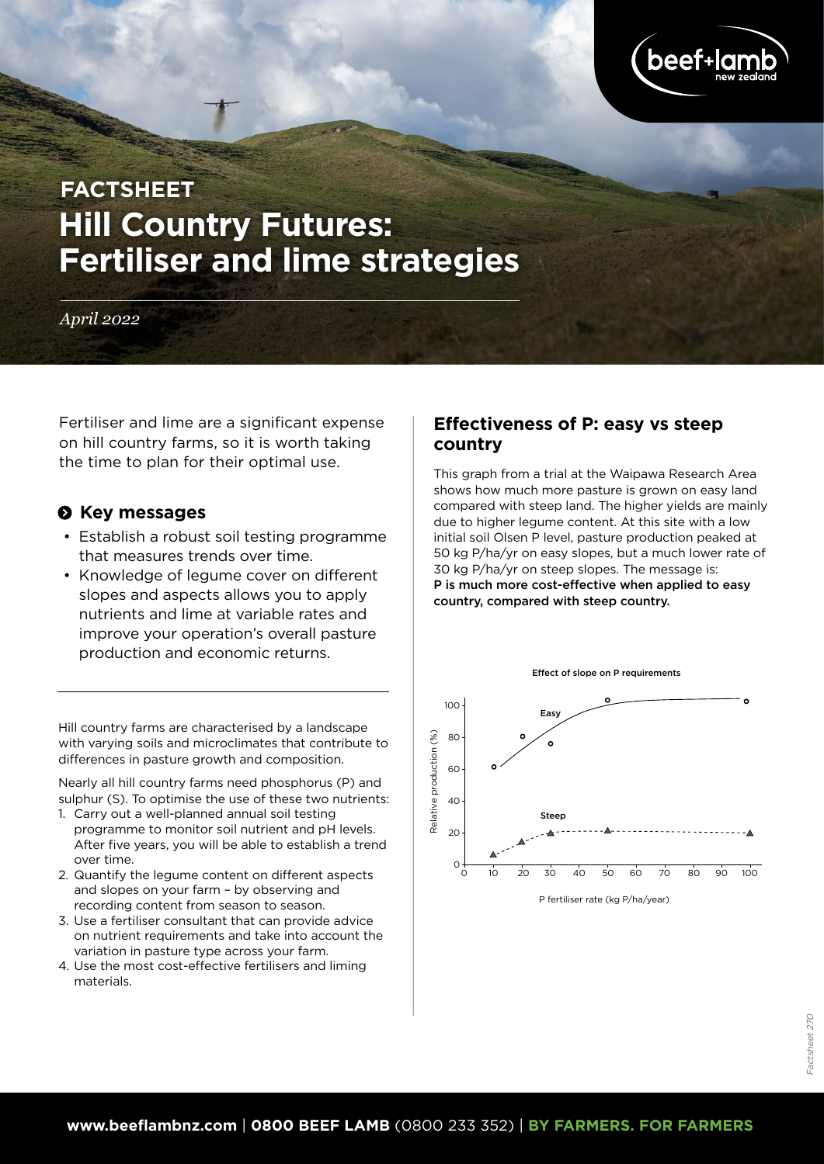

# **Hill Country Futures: Fertiliser and lime strategies FACTSHEET**

#### *April 2022*

Fertiliser and lime are a significant expense on hill country farms, so it is worth taking the time to plan for their optimal use.

#### $\odot$  Key messages

- Establish a robust soil testing programme that measures trends over time.
- Knowledge of legume cover on different slopes and aspects allows you to apply nutrients and lime at variable rates and improve your operation's overall pasture production and economic returns.

Hill country farms are characterised by a landscape with varying soils and microclimates that contribute to differences in pasture growth and composition.

Nearly all hill country farms need phosphorus (P) and sulphur (S). To optimise the use of these two nutrients:

- 1. Carry out a well-planned annual soil testing programme to monitor soil nutrient and pH levels. After five years, you will be able to establish a trend over time.
- 2. Quantify the legume content on different aspects and slopes on your farm – by observing and recording content from season to season.
- 3. Use a fertiliser consultant that can provide advice on nutrient requirements and take into account the variation in pasture type across your farm.
- 4. Use the most cost-effective fertilisers and liming materials.

## **Effectiveness of P: easy vs steep country**

This graph from a trial at the Waipawa Research Area shows how much more pasture is grown on easy land compared with steep land. The higher yields are mainly due to higher legume content. At this site with a low initial soil Olsen P level, pasture production peaked at 50 kg P/ha/yr on easy slopes, but a much lower rate of 30 kg P/ha/yr on steep slopes. The message is: P is much more cost-effective when applied to easy country, compared with steep country.